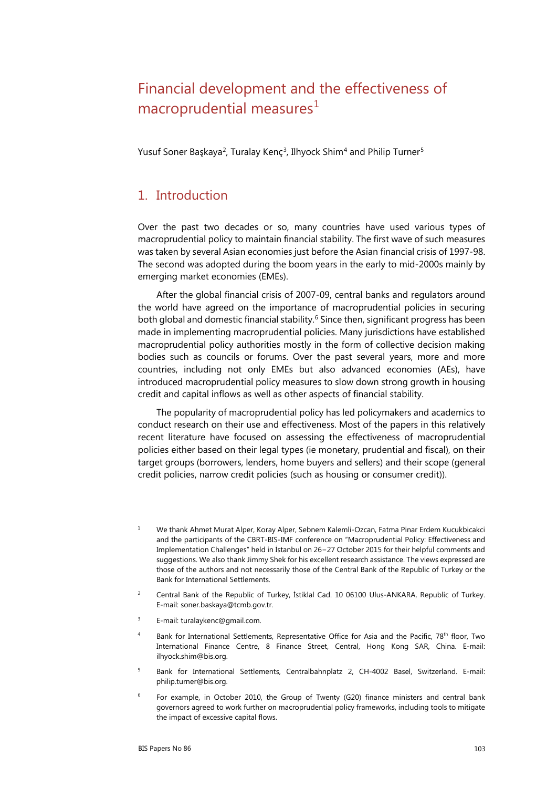# Financial development and the effectiveness of macroprudential measures<sup>[1](#page-0-0)</sup>

Yusuf Soner Başkaya<sup>[2](#page-0-1)</sup>, Turalay Kenç<sup>[3](#page-0-2)</sup>, Ilhyock Shim<sup>[4](#page-0-3)</sup> and Philip Turner<sup>[5](#page-0-4)</sup>

### 1. Introduction

Over the past two decades or so, many countries have used various types of macroprudential policy to maintain financial stability. The first wave of such measures was taken by several Asian economies just before the Asian financial crisis of 1997-98. The second was adopted during the boom years in the early to mid-2000s mainly by emerging market economies (EMEs).

After the global financial crisis of 2007-09, central banks and regulators around the world have agreed on the importance of macroprudential policies in securing both global and domestic financial stability.<sup>[6](#page-0-5)</sup> Since then, significant progress has been made in implementing macroprudential policies. Many jurisdictions have established macroprudential policy authorities mostly in the form of collective decision making bodies such as councils or forums. Over the past several years, more and more countries, including not only EMEs but also advanced economies (AEs), have introduced macroprudential policy measures to slow down strong growth in housing credit and capital inflows as well as other aspects of financial stability.

The popularity of macroprudential policy has led policymakers and academics to conduct research on their use and effectiveness. Most of the papers in this relatively recent literature have focused on assessing the effectiveness of macroprudential policies either based on their legal types (ie monetary, prudential and fiscal), on their target groups (borrowers, lenders, home buyers and sellers) and their scope (general credit policies, narrow credit policies (such as housing or consumer credit)).

- <span id="page-0-0"></span><sup>1</sup> We thank Ahmet Murat Alper, Koray Alper, Sebnem Kalemli-Ozcan, Fatma Pinar Erdem Kucukbicakci and the participants of the CBRT-BIS-IMF conference on "Macroprudential Policy: Effectiveness and Implementation Challenges" held in İstanbul on 26−27 October 2015 for their helpful comments and suggestions. We also thank Jimmy Shek for his excellent research assistance. The views expressed are those of the authors and not necessarily those of the Central Bank of the Republic of Turkey or the Bank for International Settlements.
- <span id="page-0-1"></span><sup>2</sup> Central Bank of the Republic of Turkey, İstiklal Cad. 10 06100 Ulus-ANKARA, Republic of Turkey. E-mail: soner.baskaya@tcmb.gov.tr.
- <span id="page-0-2"></span><sup>3</sup> E-mail[: turalaykenc@gmail.com](mailto:turalaykenc@gmail.com).
- <span id="page-0-3"></span>Bank for International Settlements, Representative Office for Asia and the Pacific, 78<sup>th</sup> floor, Two International Finance Centre, 8 Finance Street, Central, Hong Kong SAR, China. E-mail: ilhyock.shim@bis.org.
- <span id="page-0-4"></span><sup>5</sup> Bank for International Settlements, Centralbahnplatz 2, CH-4002 Basel, Switzerland. E-mail: philip.turner@bis.org.
- <span id="page-0-5"></span> $6$  For example, in October 2010, the Group of Twenty (G20) finance ministers and central bank governors agreed to work further on macroprudential policy frameworks, including tools to mitigate the impact of excessive capital flows.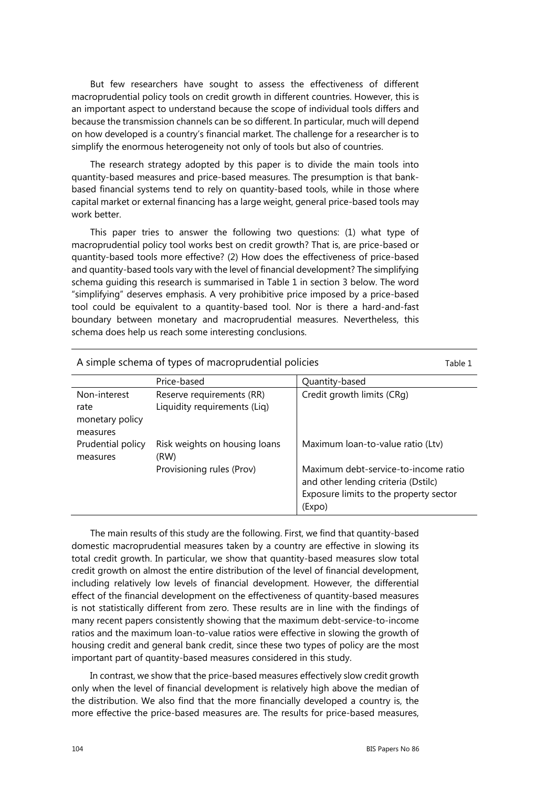But few researchers have sought to assess the effectiveness of different macroprudential policy tools on credit growth in different countries. However, this is an important aspect to understand because the scope of individual tools differs and because the transmission channels can be so different. In particular, much will depend on how developed is a country's financial market. The challenge for a researcher is to simplify the enormous heterogeneity not only of tools but also of countries.

The research strategy adopted by this paper is to divide the main tools into quantity-based measures and price-based measures. The presumption is that bankbased financial systems tend to rely on quantity-based tools, while in those where capital market or external financing has a large weight, general price-based tools may work better.

This paper tries to answer the following two questions: (1) what type of macroprudential policy tool works best on credit growth? That is, are price-based or quantity-based tools more effective? (2) How does the effectiveness of price-based and quantity-based tools vary with the level of financial development? The simplifying schema guiding this research is summarised in Table 1 in section 3 below. The word "simplifying" deserves emphasis. A very prohibitive price imposed by a price-based tool could be equivalent to a quantity-based tool. Nor is there a hard-and-fast boundary between monetary and macroprudential measures. Nevertheless, this schema does help us reach some interesting conclusions.

| A simple schema of types of macroprudential policies |                                                           |                                                                                                                                 |  |
|------------------------------------------------------|-----------------------------------------------------------|---------------------------------------------------------------------------------------------------------------------------------|--|
|                                                      | Price-based                                               | Quantity-based                                                                                                                  |  |
| Non-interest<br>rate<br>monetary policy<br>measures  | Reserve requirements (RR)<br>Liquidity requirements (Liq) | Credit growth limits (CRg)                                                                                                      |  |
| Prudential policy<br>measures                        | Risk weights on housing loans<br>(RW)                     | Maximum Ioan-to-value ratio (Ltv)                                                                                               |  |
|                                                      | Provisioning rules (Prov)                                 | Maximum debt-service-to-income ratio<br>and other lending criteria (Dstilc)<br>Exposure limits to the property sector<br>(Expo) |  |

The main results of this study are the following. First, we find that quantity-based domestic macroprudential measures taken by a country are effective in slowing its total credit growth. In particular, we show that quantity-based measures slow total credit growth on almost the entire distribution of the level of financial development, including relatively low levels of financial development. However, the differential effect of the financial development on the effectiveness of quantity-based measures is not statistically different from zero. These results are in line with the findings of many recent papers consistently showing that the maximum debt-service-to-income ratios and the maximum loan-to-value ratios were effective in slowing the growth of housing credit and general bank credit, since these two types of policy are the most important part of quantity-based measures considered in this study.

In contrast, we show that the price-based measures effectively slow credit growth only when the level of financial development is relatively high above the median of the distribution. We also find that the more financially developed a country is, the more effective the price-based measures are. The results for price-based measures,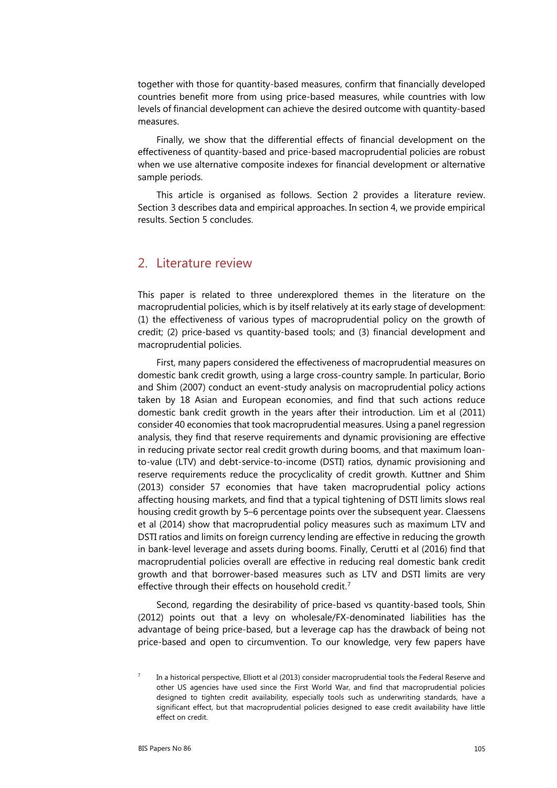together with those for quantity-based measures, confirm that financially developed countries benefit more from using price-based measures, while countries with low levels of financial development can achieve the desired outcome with quantity-based measures.

Finally, we show that the differential effects of financial development on the effectiveness of quantity-based and price-based macroprudential policies are robust when we use alternative composite indexes for financial development or alternative sample periods.

This article is organised as follows. Section 2 provides a literature review. Section 3 describes data and empirical approaches. In section 4, we provide empirical results. Section 5 concludes.

#### 2. Literature review

This paper is related to three underexplored themes in the literature on the macroprudential policies, which is by itself relatively at its early stage of development: (1) the effectiveness of various types of macroprudential policy on the growth of credit; (2) price-based vs quantity-based tools; and (3) financial development and macroprudential policies.

First, many papers considered the effectiveness of macroprudential measures on domestic bank credit growth, using a large cross-country sample. In particular, Borio and Shim (2007) conduct an event-study analysis on macroprudential policy actions taken by 18 Asian and European economies, and find that such actions reduce domestic bank credit growth in the years after their introduction. Lim et al (2011) consider 40 economies that took macroprudential measures. Using a panel regression analysis, they find that reserve requirements and dynamic provisioning are effective in reducing private sector real credit growth during booms, and that maximum loanto-value (LTV) and debt-service-to-income (DSTI) ratios, dynamic provisioning and reserve requirements reduce the procyclicality of credit growth. Kuttner and Shim (2013) consider 57 economies that have taken macroprudential policy actions affecting housing markets, and find that a typical tightening of DSTI limits slows real housing credit growth by 5–6 percentage points over the subsequent year. Claessens et al (2014) show that macroprudential policy measures such as maximum LTV and DSTI ratios and limits on foreign currency lending are effective in reducing the growth in bank-level leverage and assets during booms. Finally, Cerutti et al (2016) find that macroprudential policies overall are effective in reducing real domestic bank credit growth and that borrower-based measures such as LTV and DSTI limits are very effective through their effects on household credit.<sup>[7](#page-2-0)</sup>

Second, regarding the desirability of price-based vs quantity-based tools, Shin (2012) points out that a levy on wholesale/FX-denominated liabilities has the advantage of being price-based, but a leverage cap has the drawback of being not price-based and open to circumvention. To our knowledge, very few papers have

<span id="page-2-0"></span>In a historical perspective, Elliott et al (2013) consider macroprudential tools the Federal Reserve and other US agencies have used since the First World War, and find that macroprudential policies designed to tighten credit availability, especially tools such as underwriting standards, have a significant effect, but that macroprudential policies designed to ease credit availability have little effect on credit.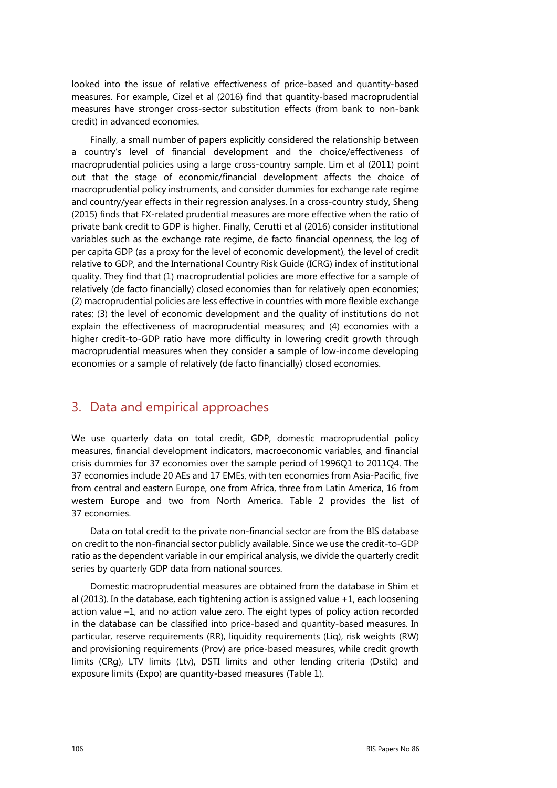looked into the issue of relative effectiveness of price-based and quantity-based measures. For example, Cizel et al (2016) find that quantity-based macroprudential measures have stronger cross-sector substitution effects (from bank to non-bank credit) in advanced economies.

Finally, a small number of papers explicitly considered the relationship between a country's level of financial development and the choice/effectiveness of macroprudential policies using a large cross-country sample. Lim et al (2011) point out that the stage of economic/financial development affects the choice of macroprudential policy instruments, and consider dummies for exchange rate regime and country/year effects in their regression analyses. In a cross-country study, Sheng (2015) finds that FX-related prudential measures are more effective when the ratio of private bank credit to GDP is higher. Finally, Cerutti et al (2016) consider institutional variables such as the exchange rate regime, de facto financial openness, the log of per capita GDP (as a proxy for the level of economic development), the level of credit relative to GDP, and the International Country Risk Guide (ICRG) index of institutional quality. They find that (1) macroprudential policies are more effective for a sample of relatively (de facto financially) closed economies than for relatively open economies; (2) macroprudential policies are less effective in countries with more flexible exchange rates; (3) the level of economic development and the quality of institutions do not explain the effectiveness of macroprudential measures; and (4) economies with a higher credit-to-GDP ratio have more difficulty in lowering credit growth through macroprudential measures when they consider a sample of low-income developing economies or a sample of relatively (de facto financially) closed economies.

# 3. Data and empirical approaches

We use quarterly data on total credit, GDP, domestic macroprudential policy measures, financial development indicators, macroeconomic variables, and financial crisis dummies for 37 economies over the sample period of 1996Q1 to 2011Q4. The 37 economies include 20 AEs and 17 EMEs, with ten economies from Asia-Pacific, five from central and eastern Europe, one from Africa, three from Latin America, 16 from western Europe and two from North America. Table 2 provides the list of 37 economies.

Data on total credit to the private non-financial sector are from the BIS database on credit to the non-financial sector publicly available. Since we use the credit-to-GDP ratio as the dependent variable in our empirical analysis, we divide the quarterly credit series by quarterly GDP data from national sources.

Domestic macroprudential measures are obtained from the database in Shim et al (2013). In the database, each tightening action is assigned value +1, each loosening action value –1, and no action value zero. The eight types of policy action recorded in the database can be classified into price-based and quantity-based measures. In particular, reserve requirements (RR), liquidity requirements (Liq), risk weights (RW) and provisioning requirements (Prov) are price-based measures, while credit growth limits (CRg), LTV limits (Ltv), DSTI limits and other lending criteria (Dstilc) and exposure limits (Expo) are quantity-based measures (Table 1).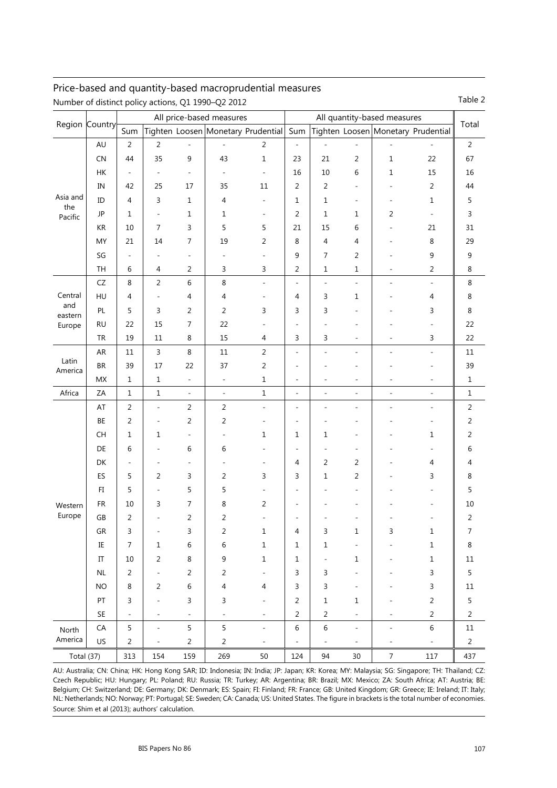#### Price-based and quantity-based macroprudential measures Number of distinct policy actions, Q1 1990–Q2 2012 Table 2

|                            | Region Country             | All price-based measures |                              |                          |                          | All quantity-based measures            |                              |                          |                              |                                    |                              |                |
|----------------------------|----------------------------|--------------------------|------------------------------|--------------------------|--------------------------|----------------------------------------|------------------------------|--------------------------|------------------------------|------------------------------------|------------------------------|----------------|
|                            |                            | Sum                      |                              |                          |                          | Tighten Loosen Monetary Prudential Sum |                              |                          |                              | Tighten Loosen Monetary Prudential |                              | Total          |
|                            | AU                         | $\overline{2}$           | $\overline{2}$               | ÷,                       | $\overline{\phantom{a}}$ | $\overline{2}$                         | ÷,                           | $\bar{\phantom{a}}$      | $\overline{\phantom{a}}$     | $\overline{\phantom{a}}$           | $\bar{a}$                    | $\overline{2}$ |
|                            | CN                         | 44                       | 35                           | $\mathsf 9$              | 43                       | $\mathbf 1$                            | 23                           | 21                       | $\overline{2}$               | $\mathbf 1$                        | 22                           | 67             |
|                            | HK                         | $\overline{\phantom{a}}$ | $\overline{\phantom{a}}$     | $\overline{\phantom{a}}$ | $\overline{\phantom{a}}$ | $\overline{\phantom{a}}$               | 16                           | 10                       | 6                            | 1                                  | 15                           | 16             |
| Asia and<br>the<br>Pacific | IN                         | 42                       | 25                           | 17                       | 35                       | $11\,$                                 | 2                            | $\overline{2}$           | $\overline{a}$               | ÷                                  | $\overline{2}$               | 44             |
|                            | ID                         | 4                        | 3                            | $\mathbf{1}$             | 4                        | $\overline{\phantom{a}}$               | 1                            | $\mathbf{1}$             | ۰                            | -                                  | $\mathbf{1}$                 | 5              |
|                            | JP                         | $\mathbf{1}$             | $\overline{\phantom{a}}$     | $\mathbf 1$              | $\mathbf 1$              | $\overline{\phantom{a}}$               | $\overline{2}$               | $\,1\,$                  | $\mathbf{1}$                 | 2                                  | ÷,                           | 3              |
|                            | KR                         | 10                       | 7                            | $\mathsf{3}$             | 5                        | 5                                      | 21                           | 15                       | 6                            |                                    | 21                           | 31             |
|                            | MY                         | 21                       | 14                           | $\overline{7}$           | 19                       | 2                                      | 8                            | $\overline{4}$           | 4                            |                                    | 8                            | 29             |
|                            | SG                         | $\overline{\phantom{a}}$ | ٠                            | $\overline{\phantom{m}}$ | $\overline{\phantom{a}}$ | $\overline{\phantom{a}}$               | 9                            | $\overline{7}$           | $\overline{2}$               | L                                  | 9                            | 9              |
|                            | TH                         | 6                        | 4                            | $\overline{2}$           | 3                        | 3                                      | $\mathbf 2$                  | $\mathbf{1}$             | $\mathbf{1}$                 | -                                  | $\overline{2}$               | 8              |
|                            | ${\sf CZ}$                 | 8                        | 2                            | 6                        | $\,8\,$                  | $\sim$                                 | $\overline{a}$               | $\sim$                   | $\bar{a}$                    | ä,                                 | $\bar{a}$                    | $\,8\,$        |
| Central                    | HU                         | $\overline{4}$           | $\overline{\phantom{a}}$     | $\overline{4}$           | 4                        | $\overline{a}$                         | 4                            | 3                        | $\mathbf 1$                  |                                    | 4                            | $\,8\,$        |
| and<br>eastern             | PL                         | 5                        | 3                            | $\overline{2}$           | 2                        | 3                                      | 3                            | 3                        | ÷                            |                                    | 3                            | $\,8\,$        |
| Europe                     | <b>RU</b>                  | 22                       | 15                           | $\overline{7}$           | 22                       |                                        |                              |                          |                              |                                    |                              | 22             |
|                            | TR                         | 19                       | $11\,$                       | 8                        | 15                       | 4                                      | 3                            | 3                        | ٠                            |                                    | 3                            | 22             |
|                            | AR                         | 11                       | 3                            | 8                        | $11\,$                   | $\overline{2}$                         | $\qquad \qquad \blacksquare$ | $\overline{\phantom{0}}$ | $\qquad \qquad \blacksquare$ | ÷                                  | $\qquad \qquad \blacksquare$ | $11\,$         |
| Latin                      | BR                         | 39                       | 17                           | 22                       | 37                       | $\sqrt{2}$                             | ۰                            |                          | ÷                            |                                    | ٠                            | 39             |
| America                    | MX                         | $1\,$                    | $\mathbf 1$                  | $\overline{\phantom{a}}$ | $\overline{\phantom{a}}$ | $\mathbf 1$                            | $\qquad \qquad \blacksquare$ | $\overline{a}$           | $\qquad \qquad \blacksquare$ | $\overline{a}$                     | $\overline{a}$               | $\mathbf 1$    |
| Africa                     | ZA                         | $1\,$                    | $\mathbf 1$                  | $\overline{\phantom{a}}$ | $\overline{\phantom{a}}$ | $\mathbf 1$                            | $\overline{\phantom{a}}$     | $\overline{\phantom{0}}$ | ÷,                           | ÷,                                 | $\frac{1}{2}$                | $\mathbf 1$    |
|                            | AT                         | $\overline{2}$           | $\blacksquare$               | $\overline{2}$           | $\overline{2}$           | $\blacksquare$                         | $\overline{\phantom{0}}$     | ÷                        | ÷                            | Ĭ.                                 | ÷,                           | $\overline{2}$ |
|                            | BE                         | $\overline{2}$           | $\qquad \qquad \blacksquare$ | $\overline{2}$           | $\overline{2}$           |                                        | ÷                            |                          | ٠                            |                                    |                              | $\overline{2}$ |
|                            | CH                         | $\mathbf{1}$             | 1                            | $\overline{\phantom{m}}$ | $\frac{1}{2}$            | $\mathbf 1$                            | 1                            | 1                        | ÷                            |                                    | $\mathbf 1$                  | 2              |
|                            | DE                         | 6                        | ٠                            | 6                        | 6                        |                                        | ۰                            | ÷,                       | ۰                            |                                    |                              | 6              |
|                            | DK                         | $\overline{\phantom{a}}$ |                              | $\overline{\phantom{a}}$ | $\overline{\phantom{a}}$ |                                        | 4                            | $\overline{2}$           | $\overline{2}$               |                                    | 4                            | 4              |
|                            | ES                         | 5                        | 2                            | $\mathsf{3}$             | $\overline{2}$           | 3                                      | 3                            | 1                        | $\sqrt{2}$                   |                                    | 3                            | 8              |
|                            | FI                         | 5                        | $\overline{a}$               | 5                        | 5                        |                                        |                              |                          | ÷                            |                                    |                              | 5              |
| Western                    | <b>FR</b>                  | 10                       | 3                            | $\overline{7}$           | 8                        | 2                                      |                              |                          |                              |                                    |                              | $10\,$         |
| Europe                     | GB                         | $\overline{2}$           | ٠                            | $\sqrt{2}$               | 2                        | ÷.                                     |                              |                          |                              |                                    |                              | $\overline{c}$ |
|                            | GR                         | 3                        | ٠                            | 3                        | $\sqrt{2}$               | 1                                      | 4                            | 3                        | 1                            | 3                                  | 1                            | 7              |
|                            | IE                         | $\overline{7}$           | $\mathbf{1}$                 | 6                        | 6                        | $\mathbf 1$                            | 1                            | $\mathbf 1$              |                              |                                    | 1                            | 8              |
|                            | $\ensuremath{\mathsf{IT}}$ | 10                       | 2                            | 8                        | 9                        | $\mathbf 1$                            | 1                            | $\overline{\phantom{a}}$ | $\mathbf{1}$                 |                                    | 1                            | 11             |
|                            | $\sf NL$                   | 2                        | $\overline{a}$               | $\overline{2}$           | 2                        |                                        | 3                            | 3                        | $\overline{a}$               |                                    | 3                            | 5              |
|                            | <b>NO</b>                  | 8                        | 2                            | 6                        | 4                        | 4                                      | 3                            | 3                        | $\overline{a}$               |                                    | 3                            | 11             |
|                            | PT                         | 3                        |                              | 3                        | 3                        |                                        | 2                            | $\mathbf 1$              | $\mathbf{1}$                 |                                    | $\overline{2}$               | 5              |
|                            | SE                         | $\overline{\phantom{a}}$ | ٠                            | $\overline{\phantom{a}}$ | $\overline{\phantom{a}}$ | $\overline{\phantom{a}}$               | 2                            | 2                        | $\overline{a}$               |                                    | $\overline{2}$               | 2              |
| North                      | CA                         | 5                        | $\overline{\phantom{a}}$     | 5                        | 5                        | $\overline{\phantom{a}}$               | 6                            | 6                        | $\overline{\phantom{a}}$     |                                    | 6                            | 11             |
| America                    | US                         | 2                        | ٠                            | $\overline{2}$           | $\overline{c}$           | $\qquad \qquad \blacksquare$           |                              | $\overline{\phantom{a}}$ | ۰                            |                                    | $\overline{\phantom{0}}$     | $\overline{2}$ |
| Total (37)                 |                            | 313                      | 154                          | 159                      | 269                      | 50                                     | 124                          | 94                       | 30                           | $\boldsymbol{7}$                   | 117                          | 437            |

AU: Australia; CN: China; HK: Hong Kong SAR; ID: Indonesia; IN: India; JP: Japan; KR: Korea; MY: Malaysia; SG: Singapore; TH: Thailand; CZ: Czech Republic; HU: Hungary; PL: Poland; RU: Russia; TR: Turkey; AR: Argentina; BR: Brazil; MX: Mexico; ZA: South Africa; AT: Austria; BE: Belgium; CH: Switzerland; DE: Germany; DK: Denmark; ES: Spain; FI: Finland; FR: France; GB: United Kingdom; GR: Greece; IE: Ireland; IT: Italy; NL: Netherlands; NO: Norway; PT: Portugal; SE: Sweden; CA: Canada; US: United States. The figure in brackets is the total number of economies. Source: Shim et al (2013); authors' calculation.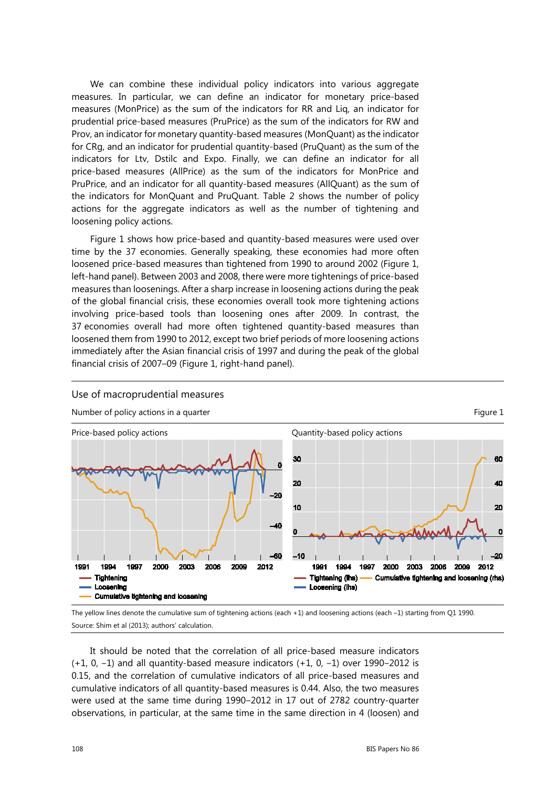We can combine these individual policy indicators into various aggregate measures. In particular, we can define an indicator for monetary price-based measures (MonPrice) as the sum of the indicators for RR and Liq, an indicator for prudential price-based measures (PruPrice) as the sum of the indicators for RW and Prov, an indicator for monetary quantity-based measures (MonQuant) as the indicator for CRg, and an indicator for prudential quantity-based (PruQuant) as the sum of the indicators for Ltv, Dstilc and Expo. Finally, we can define an indicator for all price-based measures (AllPrice) as the sum of the indicators for MonPrice and PruPrice, and an indicator for all quantity-based measures (AllQuant) as the sum of the indicators for MonQuant and PruQuant. Table 2 shows the number of policy actions for the aggregate indicators as well as the number of tightening and loosening policy actions.

Figure 1 shows how price-based and quantity-based measures were used over time by the 37 economies. Generally speaking, these economies had more often loosened price-based measures than tightened from 1990 to around 2002 (Figure 1, left-hand panel). Between 2003 and 2008, there were more tightenings of price-based measures than loosenings. After a sharp increase in loosening actions during the peak of the global financial crisis, these economies overall took more tightening actions involving price-based tools than loosening ones after 2009. In contrast, the 37 economies overall had more often tightened quantity-based measures than loosened them from 1990 to 2012, except two brief periods of more loosening actions immediately after the Asian financial crisis of 1997 and during the peak of the global financial crisis of 2007–09 (Figure 1, right-hand panel).



Use of macroprudential measures

The yellow lines denote the cumulative sum of tightening actions (each +1) and loosening actions (each –1) starting from Q1 1990. Source: Shim et al (2013); authors' calculation.

It should be noted that the correlation of all price-based measure indicators  $(+1, 0, -1)$  and all quantity-based measure indicators  $(+1, 0, -1)$  over 1990–2012 is 0.15, and the correlation of cumulative indicators of all price-based measures and cumulative indicators of all quantity-based measures is 0.44. Also, the two measures were used at the same time during 1990-2012 in 17 out of 2782 country-quarter observations, in particular, at the same time in the same direction in 4 (loosen) and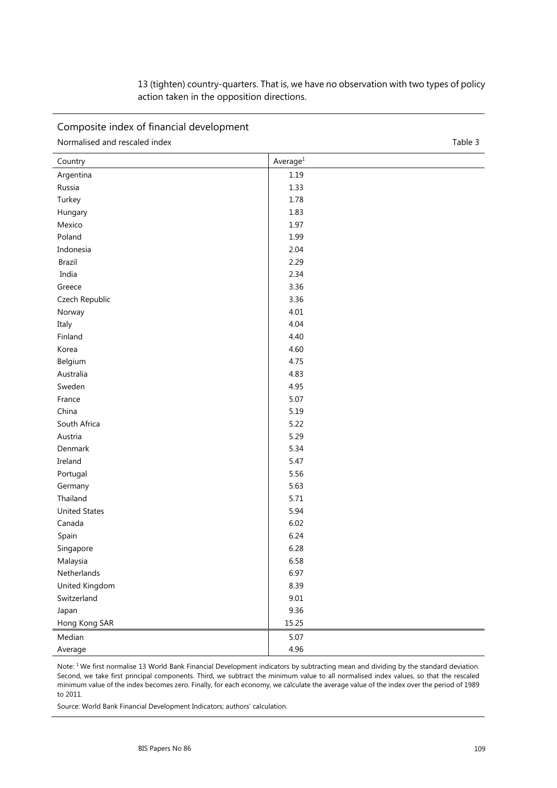| 13 (tighten) country-quarters. That is, we have no observation with two types of policy |  |
|-----------------------------------------------------------------------------------------|--|
| action taken in the opposition directions.                                              |  |

Composite index of financial development

| Normalised and rescaled index<br>Table 3 |
|------------------------------------------|
|------------------------------------------|

| Country              | Average <sup>1</sup> |
|----------------------|----------------------|
| Argentina            | 1.19                 |
| Russia               | 1.33                 |
| Turkey               | 1.78                 |
| Hungary              | 1.83                 |
| Mexico               | 1.97                 |
| Poland               | 1.99                 |
| Indonesia            | 2.04                 |
| Brazil               | 2.29                 |
| India                | 2.34                 |
| Greece               | 3.36                 |
| Czech Republic       | 3.36                 |
| Norway               | 4.01                 |
| Italy                | 4.04                 |
| Finland              | 4.40                 |
| Korea                | 4.60                 |
| Belgium              | 4.75                 |
| Australia            | 4.83                 |
| Sweden               | 4.95                 |
| France               | 5.07                 |
| China                | 5.19                 |
| South Africa         | 5.22                 |
| Austria              | 5.29                 |
| Denmark              | 5.34                 |
| Ireland              | 5.47                 |
| Portugal             | 5.56                 |
| Germany              | 5.63                 |
| Thailand             | 5.71                 |
| <b>United States</b> | 5.94                 |
| Canada               | 6.02                 |
| Spain                | 6.24                 |
| Singapore            | 6.28                 |
| Malaysia             | 6.58                 |
| Netherlands          | 6.97                 |
| United Kingdom       | 8.39                 |
| Switzerland          | $9.01\,$             |
| Japan                | 9.36                 |
| Hong Kong SAR        | 15.25                |
| Median               | 5.07                 |
| Average              | 4.96                 |

Note: <sup>1</sup> We first normalise 13 World Bank Financial Development indicators by subtracting mean and dividing by the standard deviation. Second, we take first principal components. Third, we subtract the minimum value to all normalised index values, so that the rescaled minimum value of the index becomes zero. Finally, for each economy, we calculate the average value of the index over the period of 1989 to 2011.

Source: World Bank Financial Development Indicators; authors' calculation.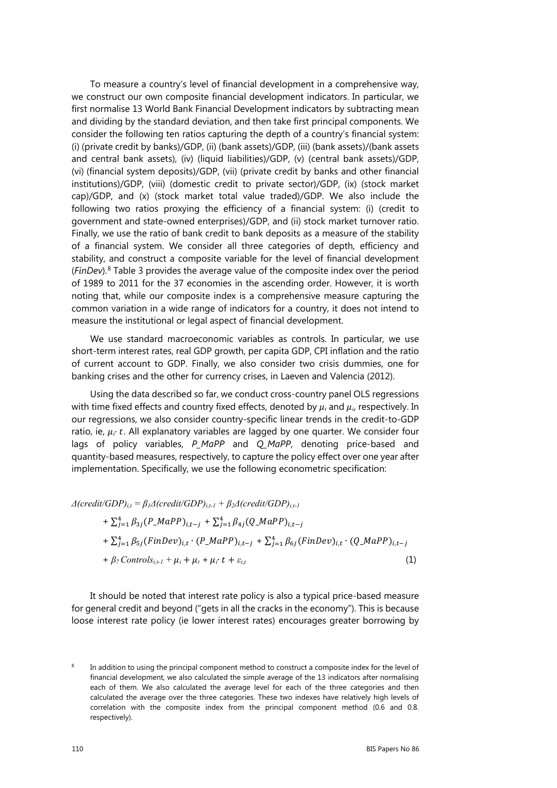To measure a country's level of financial development in a comprehensive way, we construct our own composite financial development indicators. In particular, we first normalise 13 World Bank Financial Development indicators by subtracting mean and dividing by the standard deviation, and then take first principal components. We consider the following ten ratios capturing the depth of a country's financial system: (i) (private credit by banks)/GDP, (ii) (bank assets)/GDP, (iii) (bank assets)/(bank assets and central bank assets), (iv) (liquid liabilities)/GDP, (v) (central bank assets)/GDP, (vi) (financial system deposits)/GDP, (vii) (private credit by banks and other financial institutions)/GDP, (viii) (domestic credit to private sector)/GDP, (ix) (stock market cap)/GDP, and (x) (stock market total value traded)/GDP. We also include the following two ratios proxying the efficiency of a financial system: (i) (credit to government and state-owned enterprises)/GDP, and (ii) stock market turnover ratio. Finally, we use the ratio of bank credit to bank deposits as a measure of the stability of a financial system. We consider all three categories of depth, efficiency and stability, and construct a composite variable for the level of financial development (*FinDev*).[8](#page-7-0) Table 3 provides the average value of the composite index over the period of 1989 to 2011 for the 37 economies in the ascending order. However, it is worth noting that, while our composite index is a comprehensive measure capturing the common variation in a wide range of indicators for a country, it does not intend to measure the institutional or legal aspect of financial development.

We use standard macroeconomic variables as controls. In particular, we use short-term interest rates, real GDP growth, per capita GDP, CPI inflation and the ratio of current account to GDP. Finally, we also consider two crisis dummies, one for banking crises and the other for currency crises, in Laeven and Valencia (2012).

Using the data described so far, we conduct cross-country panel OLS regressions with time fixed effects and country fixed effects, denoted by  $\mu_i$  and  $\mu_i$ , respectively. In our regressions, we also consider country-specific linear trends in the credit-to-GDP ratio, ie,  $\mu_i \cdot t$ . All explanatory variables are lagged by one quarter. We consider four lags of policy variables, *P\_MaPP* and *Q\_MaPP*, denoting price-based and quantity-based measures, respectively, to capture the policy effect over one year after implementation. Specifically, we use the following econometric specification:

 $\Delta$ (credit/GDP)<sub>*i,t*</sub></sub> =  $\beta$ <sub>*1*</sub> $\Delta$ (credit/GDP)<sub>*i,t-1*</sub> +  $\beta$ <sub>2</sub> $\Delta$ (credit/GDP)<sub>*i,t-1*</sub>

+ 
$$
\sum_{j=1}^{4} \beta_{3j} (P\_MapP)_{i,t-j}
$$
 +  $\sum_{j=1}^{4} \beta_{4j} (Q\_MapP)_{i,t-j}$   
+  $\sum_{j=1}^{4} \beta_{5j} (FinDev)_{i,t} \cdot (P\_MapP)_{i,t-j}$  +  $\sum_{j=1}^{4} \beta_{6j} (FinDev)_{i,t} \cdot (Q\_MapP)_{i,t-j}$   
+  $\beta_{7} Controls_{i,t-1}$  +  $\mu_{i}$  +  $\mu_{i}$  +  $\mu_{i}$  +  $\mu_{i}$  +  $\varepsilon_{i,t}$  (1)

It should be noted that interest rate policy is also a typical price-based measure for general credit and beyond ("gets in all the cracks in the economy"). This is because loose interest rate policy (ie lower interest rates) encourages greater borrowing by

<span id="page-7-0"></span><sup>&</sup>lt;sup>8</sup> In addition to using the principal component method to construct a composite index for the level of financial development, we also calculated the simple average of the 13 indicators after normalising each of them. We also calculated the average level for each of the three categories and then calculated the average over the three categories. These two indexes have relatively high levels of correlation with the composite index from the principal component method (0.6 and 0.8. respectively).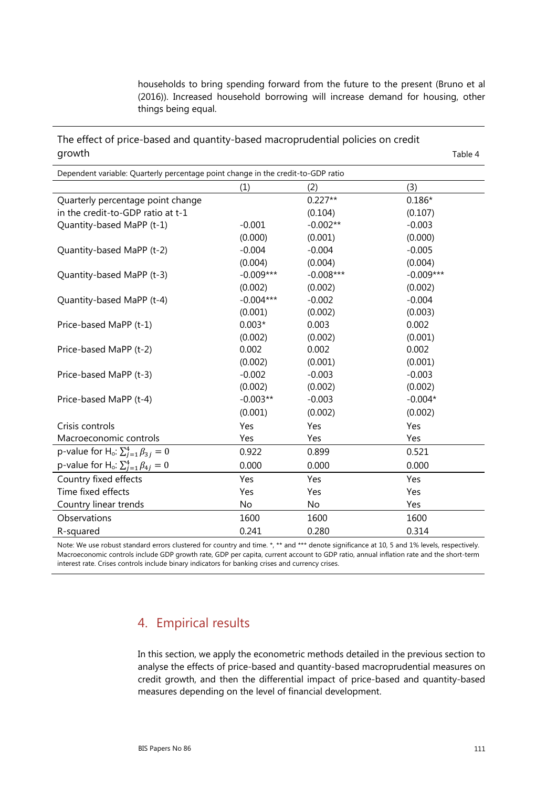households to bring spending forward from the future to the present (Bruno et al (2016)). Increased household borrowing will increase demand for housing, other things being equal.

The effect of price-based and quantity-based macroprudential policies on credit growth Table 4

| Dependent variable: Quarterly percentage point change in the credit-to-GDP ratio |             |             |             |  |  |
|----------------------------------------------------------------------------------|-------------|-------------|-------------|--|--|
|                                                                                  | (1)         | (2)         | (3)         |  |  |
| Quarterly percentage point change                                                |             | $0.227**$   | $0.186*$    |  |  |
| in the credit-to-GDP ratio at t-1                                                |             | (0.104)     | (0.107)     |  |  |
| Quantity-based MaPP (t-1)                                                        | $-0.001$    | $-0.002**$  | $-0.003$    |  |  |
|                                                                                  | (0.000)     | (0.001)     | (0.000)     |  |  |
| Quantity-based MaPP (t-2)                                                        | $-0.004$    | $-0.004$    | $-0.005$    |  |  |
|                                                                                  | (0.004)     | (0.004)     | (0.004)     |  |  |
| Quantity-based MaPP (t-3)                                                        | $-0.009***$ | $-0.008***$ | $-0.009***$ |  |  |
|                                                                                  | (0.002)     | (0.002)     | (0.002)     |  |  |
| Quantity-based MaPP (t-4)                                                        | $-0.004***$ | $-0.002$    | $-0.004$    |  |  |
|                                                                                  | (0.001)     | (0.002)     | (0.003)     |  |  |
| Price-based MaPP (t-1)                                                           | $0.003*$    | 0.003       | 0.002       |  |  |
|                                                                                  | (0.002)     | (0.002)     | (0.001)     |  |  |
| Price-based MaPP (t-2)                                                           | 0.002       | 0.002       | 0.002       |  |  |
|                                                                                  | (0.002)     | (0.001)     | (0.001)     |  |  |
| Price-based MaPP (t-3)                                                           | $-0.002$    | $-0.003$    | $-0.003$    |  |  |
|                                                                                  | (0.002)     | (0.002)     | (0.002)     |  |  |
| Price-based MaPP (t-4)                                                           | $-0.003**$  | $-0.003$    | $-0.004*$   |  |  |
|                                                                                  | (0.001)     | (0.002)     | (0.002)     |  |  |
| Crisis controls                                                                  | Yes         | Yes         | Yes         |  |  |
| Macroeconomic controls                                                           | Yes         | Yes         | Yes         |  |  |
| p-value for H <sub>o</sub> : $\sum_{j=1}^{4} \beta_{3j} = 0$                     | 0.922       | 0.899       | 0.521       |  |  |
| p-value for H <sub>o</sub> : $\sum_{j=1}^{4} \beta_{4j} = 0$                     | 0.000       | 0.000       | 0.000       |  |  |
| Country fixed effects                                                            | Yes         | Yes         | Yes         |  |  |
| Time fixed effects                                                               | Yes         | Yes         | Yes         |  |  |
| Country linear trends                                                            | No          | No          | Yes         |  |  |
| Observations                                                                     | 1600        | 1600        | 1600        |  |  |
| R-squared                                                                        | 0.241       | 0.280       | 0.314       |  |  |

Note: We use robust standard errors clustered for country and time. \*, \*\* and \*\*\* denote significance at 10, 5 and 1% levels, respectively. Macroeconomic controls include GDP growth rate, GDP per capita, current account to GDP ratio, annual inflation rate and the short-term interest rate. Crises controls include binary indicators for banking crises and currency crises.

# 4. Empirical results

In this section, we apply the econometric methods detailed in the previous section to analyse the effects of price-based and quantity-based macroprudential measures on credit growth, and then the differential impact of price-based and quantity-based measures depending on the level of financial development.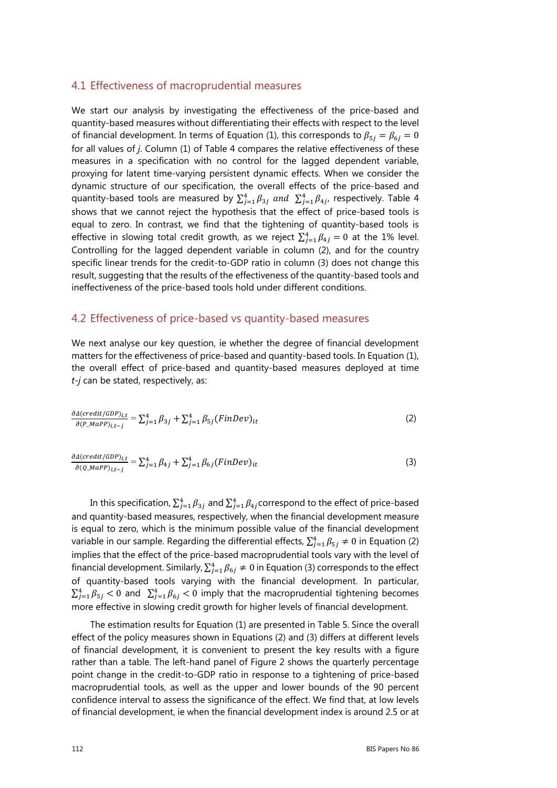#### 4.1 Effectiveness of macroprudential measures

We start our analysis by investigating the effectiveness of the price-based and quantity-based measures without differentiating their effects with respect to the level of financial development. In terms of Equation (1), this corresponds to  $\beta_{5i} = \beta_{6i} = 0$ for all values of *j*. Column (1) of Table 4 compares the relative effectiveness of these measures in a specification with no control for the lagged dependent variable, proxying for latent time-varying persistent dynamic effects. When we consider the dynamic structure of our specification, the overall effects of the price-based and quantity-based tools are measured by  $\sum_{j=1}^{4} \beta_{3j}$  and  $\sum_{j=1}^{4} \beta_{4j}$ , respectively. Table 4 shows that we cannot reject the hypothesis that the effect of price-based tools is equal to zero. In contrast, we find that the tightening of quantity-based tools is effective in slowing total credit growth, as we reject  $\sum_{j=1}^{4} \beta_{4j} = 0$  at the 1% level. Controlling for the lagged dependent variable in column (2), and for the country specific linear trends for the credit-to-GDP ratio in column (3) does not change this result, suggesting that the results of the effectiveness of the quantity-based tools and ineffectiveness of the price-based tools hold under different conditions.

#### 4.2 Effectiveness of price-based vs quantity-based measures

We next analyse our key question, ie whether the degree of financial development matters for the effectiveness of price-based and quantity-based tools. In Equation (1), the overall effect of price-based and quantity-based measures deployed at time *t-j* can be stated, respectively, as:

$$
\frac{\partial \Delta(credit/GDP)_{i,t}}{\partial (P\_MAPP)_{i,t-j}} = \sum_{j=1}^{4} \beta_{3j} + \sum_{j=1}^{4} \beta_{5j} (FinDev)_{it}
$$
\n(2)

$$
\frac{\partial \Delta(credit/GDP)_{i,t}}{\partial (Q\_MAP)_{i,t-j}} = \sum_{j=1}^{4} \beta_{4j} + \sum_{j=1}^{4} \beta_{6j} (FinDev)_{it}
$$
\n(3)

In this specification,  $\sum_{j=1}^4 \beta_{3j}$  and  $\sum_{j=1}^4 \beta_{4j}$ correspond to the effect of price-based and quantity-based measures, respectively, when the financial development measure is equal to zero, which is the minimum possible value of the financial development variable in our sample. Regarding the differential effects,  $\sum_{j=1}^4 \beta_{5j} \neq 0$  in Equation (2) implies that the effect of the price-based macroprudential tools vary with the level of financial development. Similarly,  $\sum_{j=1}^4 \beta_{6j} \neq 0$  in Equation (3) corresponds to the effect of quantity-based tools varying with the financial development. In particular,  $\sum_{j=1}^{4} \beta_{5j} < 0$  and  $\sum_{j=1}^{4} \beta_{6j} < 0$  imply that the macroprudential tightening becomes more effective in slowing credit growth for higher levels of financial development.

The estimation results for Equation (1) are presented in Table 5. Since the overall effect of the policy measures shown in Equations (2) and (3) differs at different levels of financial development, it is convenient to present the key results with a figure rather than a table. The left-hand panel of Figure 2 shows the quarterly percentage point change in the credit-to-GDP ratio in response to a tightening of price-based macroprudential tools, as well as the upper and lower bounds of the 90 percent confidence interval to assess the significance of the effect. We find that, at low levels of financial development, ie when the financial development index is around 2.5 or at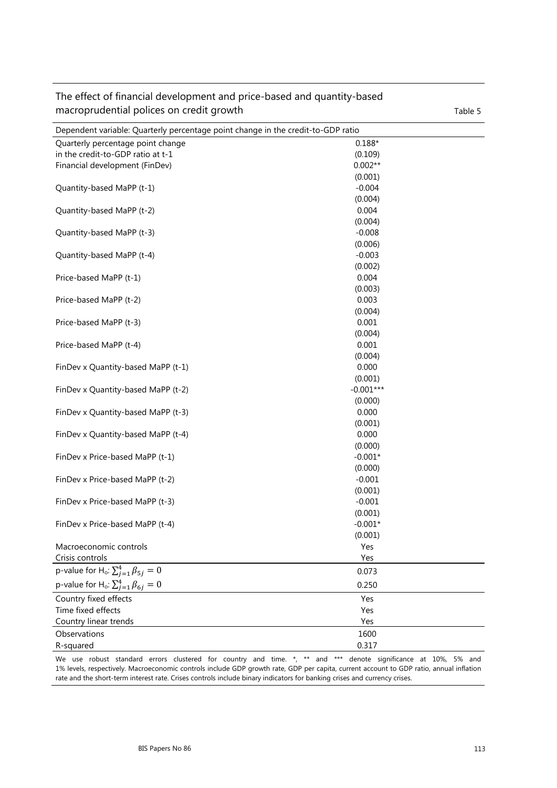| Dependent variable: Quarterly percentage point change in the credit-to-GDP ratio |                  |  |
|----------------------------------------------------------------------------------|------------------|--|
| Quarterly percentage point change                                                | $0.188*$         |  |
| in the credit-to-GDP ratio at t-1                                                | (0.109)          |  |
| Financial development (FinDev)                                                   | $0.002**$        |  |
|                                                                                  | (0.001)          |  |
| Quantity-based MaPP (t-1)                                                        | $-0.004$         |  |
|                                                                                  | (0.004)          |  |
| Quantity-based MaPP (t-2)                                                        | 0.004            |  |
|                                                                                  | (0.004)          |  |
| Quantity-based MaPP (t-3)                                                        | $-0.008$         |  |
|                                                                                  | (0.006)          |  |
| Quantity-based MaPP (t-4)                                                        | $-0.003$         |  |
|                                                                                  | (0.002)          |  |
| Price-based MaPP (t-1)                                                           | 0.004            |  |
|                                                                                  | (0.003)          |  |
| Price-based MaPP (t-2)                                                           | 0.003            |  |
|                                                                                  | (0.004)          |  |
| Price-based MaPP (t-3)                                                           | 0.001            |  |
|                                                                                  | (0.004)          |  |
| Price-based MaPP (t-4)                                                           | 0.001<br>(0.004) |  |
| FinDev x Quantity-based MaPP (t-1)                                               | 0.000            |  |
|                                                                                  | (0.001)          |  |
| FinDev x Quantity-based MaPP (t-2)                                               | $-0.001***$      |  |
|                                                                                  | (0.000)          |  |
| FinDev x Quantity-based MaPP (t-3)                                               | 0.000            |  |
|                                                                                  | (0.001)          |  |
| FinDev x Quantity-based MaPP (t-4)                                               | 0.000            |  |
|                                                                                  | (0.000)          |  |
| FinDev x Price-based MaPP (t-1)                                                  | $-0.001*$        |  |
|                                                                                  | (0.000)          |  |
| FinDev x Price-based MaPP (t-2)                                                  | $-0.001$         |  |
|                                                                                  | (0.001)          |  |
| FinDev x Price-based MaPP (t-3)                                                  | $-0.001$         |  |
|                                                                                  | (0.001)          |  |
| FinDev x Price-based MaPP (t-4)                                                  | $-0.001*$        |  |
|                                                                                  | (0.001)          |  |
| Macroeconomic controls                                                           | Yes              |  |
| Crisis controls                                                                  | Yes              |  |
| p-value for H <sub>o</sub> : $\sum_{j=1}^{4} \beta_{5j} = 0$                     | 0.073            |  |
| p-value for H <sub>o</sub> : $\sum_{j=1}^{4} \beta_{6j} = 0$                     | 0.250            |  |
| Country fixed effects                                                            | Yes              |  |
| Time fixed effects                                                               | Yes              |  |
| Country linear trends                                                            | Yes              |  |
| Observations                                                                     | 1600             |  |
| R-squared                                                                        | 0.317            |  |

The effect of financial development and price-based and quantity-based macroprudential polices on credit growth Table 5

We use robust standard errors clustered for country and time. \*, \*\* and \*\*\* denote significance at 10%, 5% and 1% levels, respectively. Macroeconomic controls include GDP growth rate, GDP per capita, current account to GDP ratio, annual inflation rate and the short-term interest rate. Crises controls include binary indicators for banking crises and currency crises.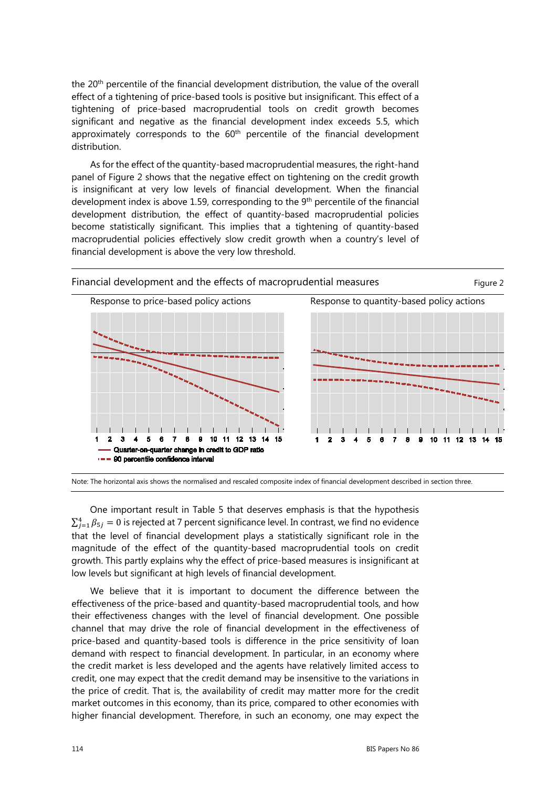the 20<sup>th</sup> percentile of the financial development distribution, the value of the overall effect of a tightening of price-based tools is positive but insignificant. This effect of a tightening of price-based macroprudential tools on credit growth becomes significant and negative as the financial development index exceeds 5.5, which approximately corresponds to the  $60<sup>th</sup>$  percentile of the financial development distribution.

As for the effect of the quantity-based macroprudential measures, the right-hand panel of Figure 2 shows that the negative effect on tightening on the credit growth is insignificant at very low levels of financial development. When the financial development index is above 1.59, corresponding to the  $9<sup>th</sup>$  percentile of the financial development distribution, the effect of quantity-based macroprudential policies become statistically significant. This implies that a tightening of quantity-based macroprudential policies effectively slow credit growth when a country's level of financial development is above the very low threshold.



Note: The horizontal axis shows the normalised and rescaled composite index of financial development described in section three.

One important result in Table 5 that deserves emphasis is that the hypothesis  $\sum_{j=1}^{4} \beta_{5j} = 0$  is rejected at 7 percent significance level. In contrast, we find no evidence that the level of financial development plays a statistically significant role in the magnitude of the effect of the quantity-based macroprudential tools on credit growth. This partly explains why the effect of price-based measures is insignificant at low levels but significant at high levels of financial development.

We believe that it is important to document the difference between the effectiveness of the price-based and quantity-based macroprudential tools, and how their effectiveness changes with the level of financial development. One possible channel that may drive the role of financial development in the effectiveness of price-based and quantity-based tools is difference in the price sensitivity of loan demand with respect to financial development. In particular, in an economy where the credit market is less developed and the agents have relatively limited access to credit, one may expect that the credit demand may be insensitive to the variations in the price of credit. That is, the availability of credit may matter more for the credit market outcomes in this economy, than its price, compared to other economies with higher financial development. Therefore, in such an economy, one may expect the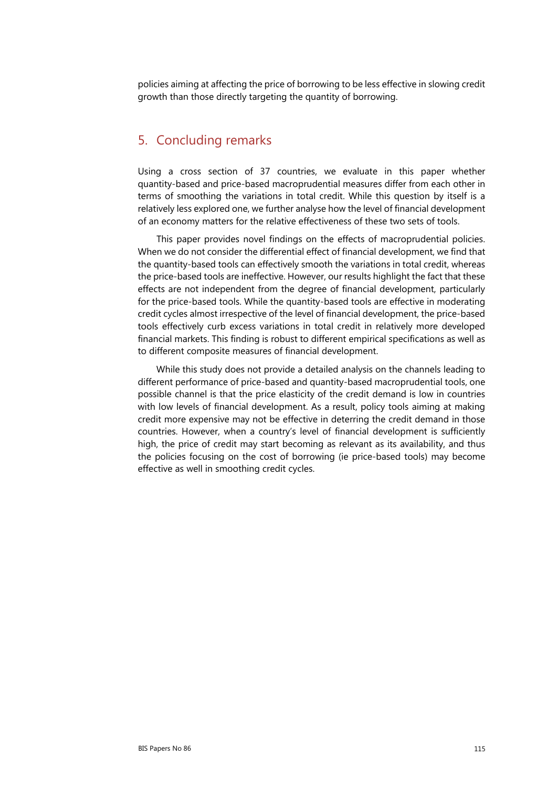policies aiming at affecting the price of borrowing to be less effective in slowing credit growth than those directly targeting the quantity of borrowing.

#### 5. Concluding remarks

Using a cross section of 37 countries, we evaluate in this paper whether quantity-based and price-based macroprudential measures differ from each other in terms of smoothing the variations in total credit. While this question by itself is a relatively less explored one, we further analyse how the level of financial development of an economy matters for the relative effectiveness of these two sets of tools.

This paper provides novel findings on the effects of macroprudential policies. When we do not consider the differential effect of financial development, we find that the quantity-based tools can effectively smooth the variations in total credit, whereas the price-based tools are ineffective. However, our results highlight the fact that these effects are not independent from the degree of financial development, particularly for the price-based tools. While the quantity-based tools are effective in moderating credit cycles almost irrespective of the level of financial development, the price-based tools effectively curb excess variations in total credit in relatively more developed financial markets. This finding is robust to different empirical specifications as well as to different composite measures of financial development.

While this study does not provide a detailed analysis on the channels leading to different performance of price-based and quantity-based macroprudential tools, one possible channel is that the price elasticity of the credit demand is low in countries with low levels of financial development. As a result, policy tools aiming at making credit more expensive may not be effective in deterring the credit demand in those countries. However, when a country's level of financial development is sufficiently high, the price of credit may start becoming as relevant as its availability, and thus the policies focusing on the cost of borrowing (ie price-based tools) may become effective as well in smoothing credit cycles.